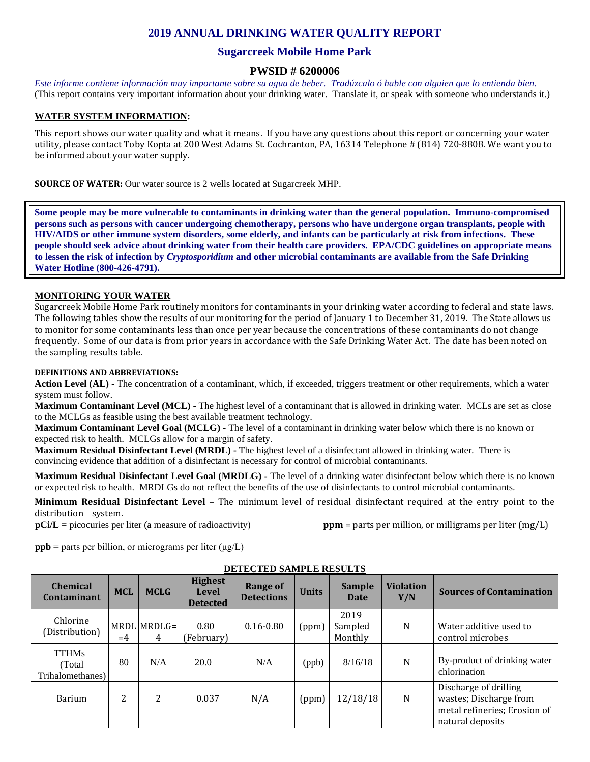# **2019 ANNUAL DRINKING WATER QUALITY REPORT**

## **Sugarcreek Mobile Home Park**

### **PWSID # 6200006**

*Este informe contiene información muy importante sobre su agua de beber. Tradúzcalo ó hable con alguien que lo entienda bien.*  (This report contains very important information about your drinking water. Translate it, or speak with someone who understands it.)

### **WATER SYSTEM INFORMATION:**

This report shows our water quality and what it means. If you have any questions about this report or concerning your water utility, please contact Toby Kopta at 200 West Adams St. Cochranton, PA, 16314 Telephone # (814) 720-8808. We want you to be informed about your water supply.

**SOURCE OF WATER:** Our water source is 2 wells located at Sugarcreek MHP.

**Some people may be more vulnerable to contaminants in drinking water than the general population. Immuno-compromised persons such as persons with cancer undergoing chemotherapy, persons who have undergone organ transplants, people with HIV/AIDS or other immune system disorders, some elderly, and infants can be particularly at risk from infections. These people should seek advice about drinking water from their health care providers. EPA/CDC guidelines on appropriate means to lessen the risk of infection by** *Cryptosporidium* **and other microbial contaminants are available from the Safe Drinking Water Hotline (800-426-4791).**

#### **MONITORING YOUR WATER**

Sugarcreek Mobile Home Park routinely monitors for contaminants in your drinking water according to federal and state laws. The following tables show the results of our monitoring for the period of January 1 to December 31, 2019. The State allows us to monitor for some contaminants less than once per year because the concentrations of these contaminants do not change frequently. Some of our data is from prior years in accordance with the Safe Drinking Water Act. The date has been noted on the sampling results table.

#### **DEFINITIONS AND ABBREVIATIONS:**

**Action Level (AL) -** The concentration of a contaminant, which, if exceeded, triggers treatment or other requirements, which a water system must follow.

**Maximum Contaminant Level (MCL) -** The highest level of a contaminant that is allowed in drinking water. MCLs are set as close to the MCLGs as feasible using the best available treatment technology.

**Maximum Contaminant Level Goal (MCLG) -** The level of a contaminant in drinking water below which there is no known or expected risk to health. MCLGs allow for a margin of safety.

**Maximum Residual Disinfectant Level (MRDL) -** The highest level of a disinfectant allowed in drinking water. There is convincing evidence that addition of a disinfectant is necessary for control of microbial contaminants.

**Maximum Residual Disinfectant Level Goal (MRDLG) -** The level of a drinking water disinfectant below which there is no known or expected risk to health. MRDLGs do not reflect the benefits of the use of disinfectants to control microbial contaminants.

**Minimum Residual Disinfectant Level –** The minimum level of residual disinfectant required at the entry point to the distribution system.<br> $pCi/L$  = picocuries per liter (a measure of radioactivity)

 $ppm =$  parts per million, or milligrams per liter (mg/L)

**ppb** = parts per billion, or micrograms per liter  $(\mu g/L)$ 

| <b>Chemical</b><br>Contaminant             | <b>MCL</b> | <b>MCLG</b>      | <b>Highest</b><br><b>Level</b><br><b>Detected</b> | Range of<br><b>Detections</b> | <b>Units</b> | <b>Sample</b><br><b>Date</b> | <b>Violation</b><br>Y/N | <b>Sources of Contamination</b>                                                                     |
|--------------------------------------------|------------|------------------|---------------------------------------------------|-------------------------------|--------------|------------------------------|-------------------------|-----------------------------------------------------------------------------------------------------|
| Chlorine<br>(Distribution)                 | $=4$       | MRDL MRDLG=<br>4 | 0.80<br>(February)                                | $0.16 - 0.80$                 | (ppm)        | 2019<br>Sampled<br>Monthly   | N                       | Water additive used to<br>control microbes                                                          |
| <b>TTHMs</b><br>(Total<br>Trihalomethanes) | 80         | N/A              | 20.0                                              | N/A                           | (ppb)        | 8/16/18                      | N                       | By-product of drinking water<br>chlorination                                                        |
| Barium                                     | 2          | 2                | 0.037                                             | N/A                           | (ppm)        | 12/18/18                     | N                       | Discharge of drilling<br>wastes; Discharge from<br>metal refineries; Erosion of<br>natural deposits |

#### **DETECTED SAMPLE RESULTS**